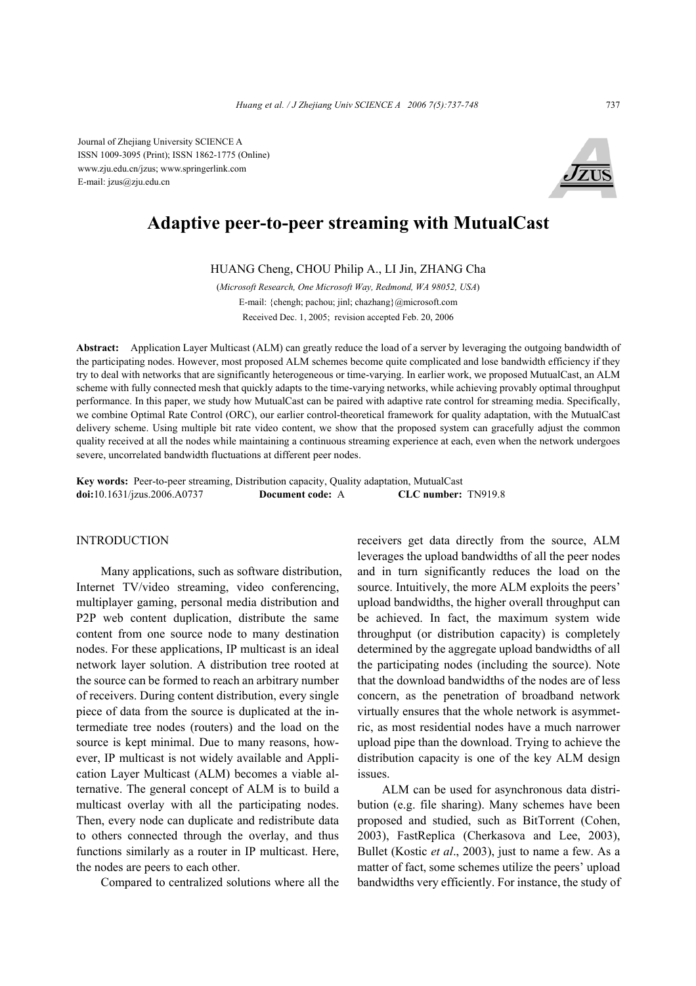Journal of Zhejiang University SCIENCE A ISSN 1009-3095 (Print); ISSN 1862-1775 (Online) www.zju.edu.cn/jzus; www.springerlink.com E-mail: jzus@zju.edu.cn



# **Adaptive peer-to-peer streaming with MutualCast**

# HUANG Cheng, CHOU Philip A., LI Jin, ZHANG Cha

(*Microsoft Research, One Microsoft Way, Redmond, WA 98052, USA*) E-mail: {chengh; pachou; jinl; chazhang}@microsoft.com Received Dec. 1, 2005; revision accepted Feb. 20, 2006

**Abstract:** Application Layer Multicast (ALM) can greatly reduce the load of a server by leveraging the outgoing bandwidth of the participating nodes. However, most proposed ALM schemes become quite complicated and lose bandwidth efficiency if they try to deal with networks that are significantly heterogeneous or time-varying. In earlier work, we proposed MutualCast, an ALM scheme with fully connected mesh that quickly adapts to the time-varying networks, while achieving provably optimal throughput performance. In this paper, we study how MutualCast can be paired with adaptive rate control for streaming media. Specifically, we combine Optimal Rate Control (ORC), our earlier control-theoretical framework for quality adaptation, with the MutualCast delivery scheme. Using multiple bit rate video content, we show that the proposed system can gracefully adjust the common quality received at all the nodes while maintaining a continuous streaming experience at each, even when the network undergoes severe, uncorrelated bandwidth fluctuations at different peer nodes.

**Key words:** Peer-to-peer streaming, Distribution capacity, Quality adaptation, MutualCast **doi:**10.1631/jzus.2006.A0737 **Document code:** A **CLC number:** TN919.8

## INTRODUCTION

Many applications, such as software distribution, Internet TV/video streaming, video conferencing, multiplayer gaming, personal media distribution and P2P web content duplication, distribute the same content from one source node to many destination nodes. For these applications, IP multicast is an ideal network layer solution. A distribution tree rooted at the source can be formed to reach an arbitrary number of receivers. During content distribution, every single piece of data from the source is duplicated at the intermediate tree nodes (routers) and the load on the source is kept minimal. Due to many reasons, however, IP multicast is not widely available and Application Layer Multicast (ALM) becomes a viable alternative. The general concept of ALM is to build a multicast overlay with all the participating nodes. Then, every node can duplicate and redistribute data to others connected through the overlay, and thus functions similarly as a router in IP multicast. Here, the nodes are peers to each other.

Compared to centralized solutions where all the

receivers get data directly from the source, ALM leverages the upload bandwidths of all the peer nodes and in turn significantly reduces the load on the source. Intuitively, the more ALM exploits the peers' upload bandwidths, the higher overall throughput can be achieved. In fact, the maximum system wide throughput (or distribution capacity) is completely determined by the aggregate upload bandwidths of all the participating nodes (including the source). Note that the download bandwidths of the nodes are of less concern, as the penetration of broadband network virtually ensures that the whole network is asymmetric, as most residential nodes have a much narrower upload pipe than the download. Trying to achieve the distribution capacity is one of the key ALM design issues.

ALM can be used for asynchronous data distribution (e.g. file sharing). Many schemes have been proposed and studied, such as BitTorrent (Cohen, 2003), FastReplica (Cherkasova and Lee, 2003), Bullet (Kostic *et al*., 2003), just to name a few. As a matter of fact, some schemes utilize the peers' upload bandwidths very efficiently. For instance, the study of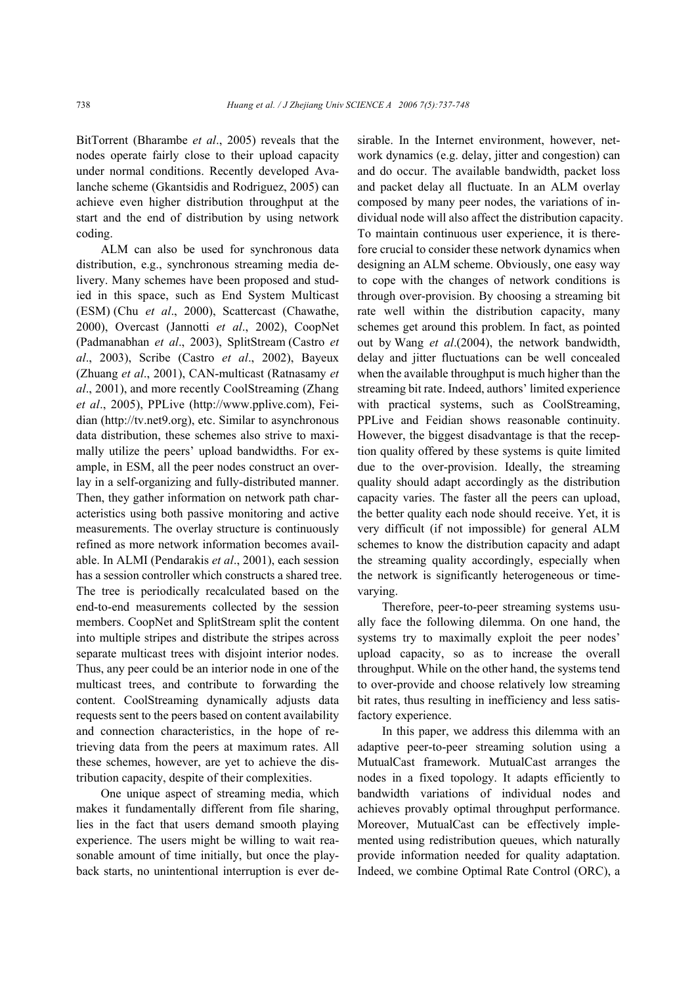BitTorrent (Bharambe *et al*., 2005) reveals that the nodes operate fairly close to their upload capacity under normal conditions. Recently developed Avalanche scheme (Gkantsidis and Rodriguez, 2005) can achieve even higher distribution throughput at the start and the end of distribution by using network coding.

ALM can also be used for synchronous data distribution, e.g., synchronous streaming media delivery. Many schemes have been proposed and studied in this space, such as End System Multicast (ESM) (Chu *et al*., 2000), Scattercast (Chawathe, 2000), Overcast (Jannotti *et al*., 2002), CoopNet (Padmanabhan *et al*., 2003), SplitStream (Castro *et al*., 2003), Scribe (Castro *et al*., 2002), Bayeux (Zhuang *et al*., 2001), CAN-multicast (Ratnasamy *et al*., 2001), and more recently CoolStreaming (Zhang *et al*., 2005), PPLive (http://www.pplive.com), Feidian (http://tv.net9.org), etc. Similar to asynchronous data distribution, these schemes also strive to maximally utilize the peers' upload bandwidths. For example, in ESM, all the peer nodes construct an overlay in a self-organizing and fully-distributed manner. Then, they gather information on network path characteristics using both passive monitoring and active measurements. The overlay structure is continuously refined as more network information becomes available. In ALMI (Pendarakis *et al*., 2001), each session has a session controller which constructs a shared tree. The tree is periodically recalculated based on the end-to-end measurements collected by the session members. CoopNet and SplitStream split the content into multiple stripes and distribute the stripes across separate multicast trees with disjoint interior nodes. Thus, any peer could be an interior node in one of the multicast trees, and contribute to forwarding the content. CoolStreaming dynamically adjusts data requests sent to the peers based on content availability and connection characteristics, in the hope of retrieving data from the peers at maximum rates. All these schemes, however, are yet to achieve the distribution capacity, despite of their complexities.

One unique aspect of streaming media, which makes it fundamentally different from file sharing, lies in the fact that users demand smooth playing experience. The users might be willing to wait reasonable amount of time initially, but once the playback starts, no unintentional interruption is ever desirable. In the Internet environment, however, network dynamics (e.g. delay, jitter and congestion) can and do occur. The available bandwidth, packet loss and packet delay all fluctuate. In an ALM overlay composed by many peer nodes, the variations of individual node will also affect the distribution capacity. To maintain continuous user experience, it is therefore crucial to consider these network dynamics when designing an ALM scheme. Obviously, one easy way to cope with the changes of network conditions is through over-provision. By choosing a streaming bit rate well within the distribution capacity, many schemes get around this problem. In fact, as pointed out by Wang *et al*.(2004), the network bandwidth, delay and jitter fluctuations can be well concealed when the available throughput is much higher than the streaming bit rate. Indeed, authors' limited experience with practical systems, such as CoolStreaming, PPLive and Feidian shows reasonable continuity. However, the biggest disadvantage is that the reception quality offered by these systems is quite limited due to the over-provision. Ideally, the streaming quality should adapt accordingly as the distribution capacity varies. The faster all the peers can upload, the better quality each node should receive. Yet, it is very difficult (if not impossible) for general ALM schemes to know the distribution capacity and adapt the streaming quality accordingly, especially when the network is significantly heterogeneous or timevarying.

Therefore, peer-to-peer streaming systems usually face the following dilemma. On one hand, the systems try to maximally exploit the peer nodes' upload capacity, so as to increase the overall throughput. While on the other hand, the systems tend to over-provide and choose relatively low streaming bit rates, thus resulting in inefficiency and less satisfactory experience.

In this paper, we address this dilemma with an adaptive peer-to-peer streaming solution using a MutualCast framework. MutualCast arranges the nodes in a fixed topology. It adapts efficiently to bandwidth variations of individual nodes and achieves provably optimal throughput performance. Moreover, MutualCast can be effectively implemented using redistribution queues, which naturally provide information needed for quality adaptation. Indeed, we combine Optimal Rate Control (ORC), a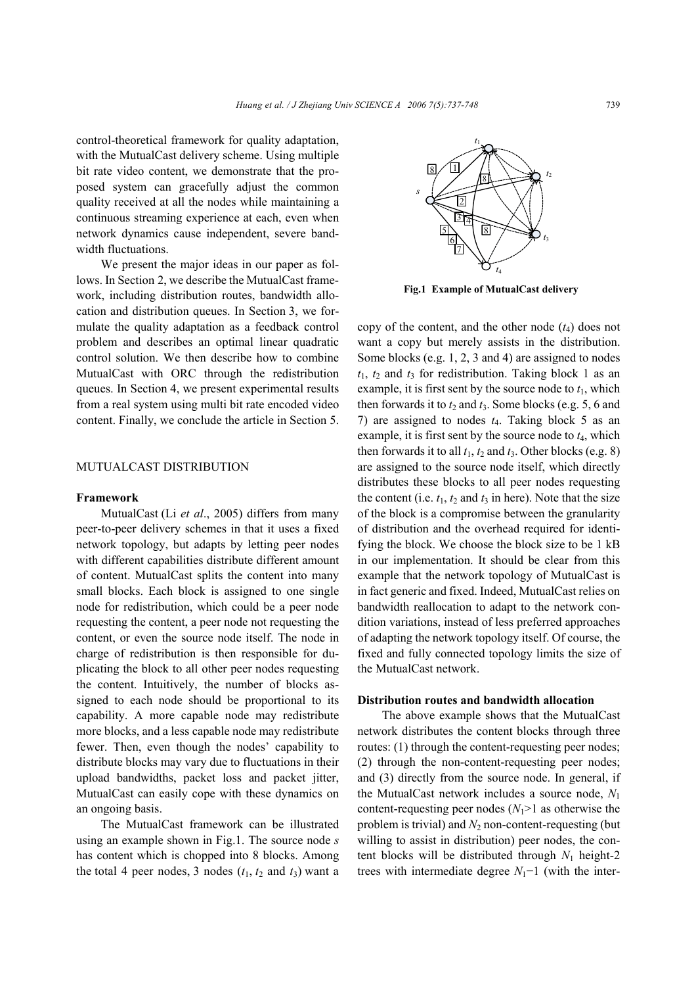control-theoretical framework for quality adaptation, with the MutualCast delivery scheme. Using multiple bit rate video content, we demonstrate that the proposed system can gracefully adjust the common quality received at all the nodes while maintaining a continuous streaming experience at each, even when network dynamics cause independent, severe bandwidth fluctuations.

We present the major ideas in our paper as follows. In Section 2, we describe the MutualCast framework, including distribution routes, bandwidth allocation and distribution queues. In Section 3, we formulate the quality adaptation as a feedback control problem and describes an optimal linear quadratic control solution. We then describe how to combine MutualCast with ORC through the redistribution queues. In Section 4, we present experimental results from a real system using multi bit rate encoded video content. Finally, we conclude the article in Section 5.

## MUTUALCAST DISTRIBUTION

#### **Framework**

MutualCast (Li *et al*., 2005) differs from many peer-to-peer delivery schemes in that it uses a fixed network topology, but adapts by letting peer nodes with different capabilities distribute different amount of content. MutualCast splits the content into many small blocks. Each block is assigned to one single node for redistribution, which could be a peer node requesting the content, a peer node not requesting the content, or even the source node itself. The node in charge of redistribution is then responsible for duplicating the block to all other peer nodes requesting the content. Intuitively, the number of blocks assigned to each node should be proportional to its capability. A more capable node may redistribute more blocks, and a less capable node may redistribute fewer. Then, even though the nodes' capability to distribute blocks may vary due to fluctuations in their upload bandwidths, packet loss and packet jitter, MutualCast can easily cope with these dynamics on an ongoing basis.

The MutualCast framework can be illustrated using an example shown in Fig.1. The source node *s* has content which is chopped into 8 blocks. Among the total 4 peer nodes, 3 nodes  $(t_1, t_2 \text{ and } t_3)$  want a

*t*1 *t*4 1  $\overline{2}$  $\frac{3}{4}$ 5 6 7 8 8 8 *s t*2 *t*3

**Fig.1 Example of MutualCast delivery**

copy of the content, and the other node (*t*4) does not want a copy but merely assists in the distribution. Some blocks (e.g. 1, 2, 3 and 4) are assigned to nodes  $t_1$ ,  $t_2$  and  $t_3$  for redistribution. Taking block 1 as an example, it is first sent by the source node to  $t_1$ , which then forwards it to  $t_2$  and  $t_3$ . Some blocks (e.g. 5, 6 and 7) are assigned to nodes *t*4. Taking block 5 as an example, it is first sent by the source node to *t*4, which then forwards it to all  $t_1$ ,  $t_2$  and  $t_3$ . Other blocks (e.g. 8) are assigned to the source node itself, which directly distributes these blocks to all peer nodes requesting the content (i.e.  $t_1$ ,  $t_2$  and  $t_3$  in here). Note that the size of the block is a compromise between the granularity of distribution and the overhead required for identifying the block. We choose the block size to be 1 kB in our implementation. It should be clear from this example that the network topology of MutualCast is in fact generic and fixed. Indeed, MutualCast relies on bandwidth reallocation to adapt to the network condition variations, instead of less preferred approaches of adapting the network topology itself. Of course, the fixed and fully connected topology limits the size of the MutualCast network.

## **Distribution routes and bandwidth allocation**

The above example shows that the MutualCast network distributes the content blocks through three routes: (1) through the content-requesting peer nodes; (2) through the non-content-requesting peer nodes; and (3) directly from the source node. In general, if the MutualCast network includes a source node, *N*<sup>1</sup> content-requesting peer nodes  $(N_1>1)$  as otherwise the problem is trivial) and  $N_2$  non-content-requesting (but willing to assist in distribution) peer nodes, the content blocks will be distributed through  $N_1$  height-2 trees with intermediate degree  $N_1$ −1 (with the inter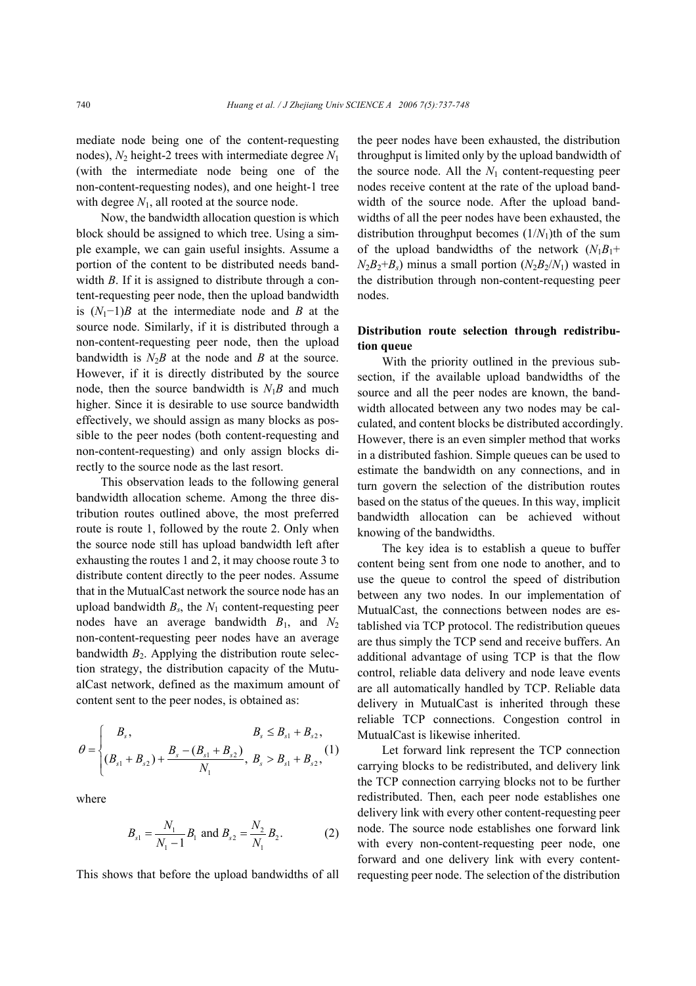mediate node being one of the content-requesting nodes),  $N_2$  height-2 trees with intermediate degree  $N_1$ (with the intermediate node being one of the non-content-requesting nodes), and one height-1 tree with degree  $N_1$ , all rooted at the source node.

Now, the bandwidth allocation question is which block should be assigned to which tree. Using a simple example, we can gain useful insights. Assume a portion of the content to be distributed needs bandwidth *B*. If it is assigned to distribute through a content-requesting peer node, then the upload bandwidth is  $(N_1-1)B$  at the intermediate node and *B* at the source node. Similarly, if it is distributed through a non-content-requesting peer node, then the upload bandwidth is  $N_2B$  at the node and *B* at the source. However, if it is directly distributed by the source node, then the source bandwidth is  $N_1B$  and much higher. Since it is desirable to use source bandwidth effectively, we should assign as many blocks as possible to the peer nodes (both content-requesting and non-content-requesting) and only assign blocks directly to the source node as the last resort.

This observation leads to the following general bandwidth allocation scheme. Among the three distribution routes outlined above, the most preferred route is route 1, followed by the route 2. Only when the source node still has upload bandwidth left after exhausting the routes 1 and 2, it may choose route 3 to distribute content directly to the peer nodes. Assume that in the MutualCast network the source node has an upload bandwidth  $B_s$ , the  $N_1$  content-requesting peer nodes have an average bandwidth  $B_1$ , and  $N_2$ non-content-requesting peer nodes have an average bandwidth  $B_2$ . Applying the distribution route selection strategy, the distribution capacity of the MutualCast network, defined as the maximum amount of content sent to the peer nodes, is obtained as:

$$
\theta = \begin{cases} B_s, & B_s \le B_{s1} + B_{s2}, \\ (B_{s1} + B_{s2}) + \frac{B_s - (B_{s1} + B_{s2})}{N_1}, & B_s > B_{s1} + B_{s2}, \end{cases}
$$
(1)

where

$$
B_{s1} = \frac{N_1}{N_1 - 1} B_1 \text{ and } B_{s2} = \frac{N_2}{N_1} B_2. \tag{2}
$$

This shows that before the upload bandwidths of all

the peer nodes have been exhausted, the distribution throughput is limited only by the upload bandwidth of the source node. All the  $N_1$  content-requesting peer nodes receive content at the rate of the upload bandwidth of the source node. After the upload bandwidths of all the peer nodes have been exhausted, the distribution throughput becomes  $(1/N_1)$ th of the sum of the upload bandwidths of the network  $(N_1B_1^+$  $N_2B_2+B_3$ ) minus a small portion  $(N_2B_2/N_1)$  wasted in the distribution through non-content-requesting peer nodes.

# **Distribution route selection through redistribution queue**

With the priority outlined in the previous subsection, if the available upload bandwidths of the source and all the peer nodes are known, the bandwidth allocated between any two nodes may be calculated, and content blocks be distributed accordingly. However, there is an even simpler method that works in a distributed fashion. Simple queues can be used to estimate the bandwidth on any connections, and in turn govern the selection of the distribution routes based on the status of the queues. In this way, implicit bandwidth allocation can be achieved without knowing of the bandwidths.

The key idea is to establish a queue to buffer content being sent from one node to another, and to use the queue to control the speed of distribution between any two nodes. In our implementation of MutualCast, the connections between nodes are established via TCP protocol. The redistribution queues are thus simply the TCP send and receive buffers. An additional advantage of using TCP is that the flow control, reliable data delivery and node leave events are all automatically handled by TCP. Reliable data delivery in MutualCast is inherited through these reliable TCP connections. Congestion control in MutualCast is likewise inherited.

Let forward link represent the TCP connection carrying blocks to be redistributed, and delivery link the TCP connection carrying blocks not to be further redistributed. Then, each peer node establishes one delivery link with every other content-requesting peer node. The source node establishes one forward link with every non-content-requesting peer node, one forward and one delivery link with every contentrequesting peer node. The selection of the distribution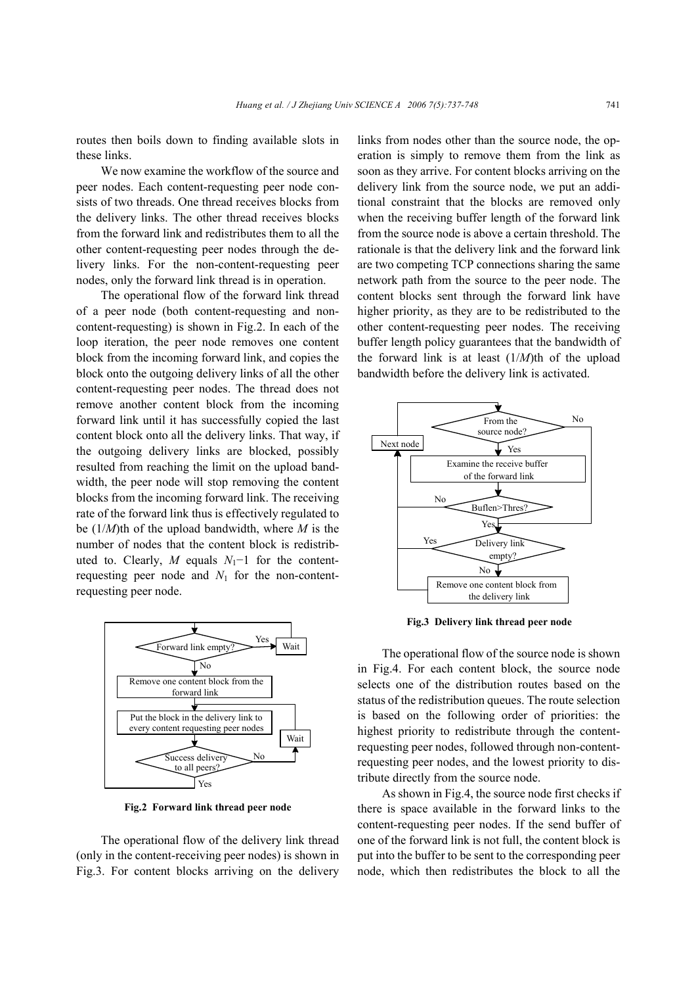routes then boils down to finding available slots in these links.

We now examine the workflow of the source and peer nodes. Each content-requesting peer node consists of two threads. One thread receives blocks from the delivery links. The other thread receives blocks from the forward link and redistributes them to all the other content-requesting peer nodes through the delivery links. For the non-content-requesting peer nodes, only the forward link thread is in operation.

The operational flow of the forward link thread of a peer node (both content-requesting and noncontent-requesting) is shown in Fig.2. In each of the loop iteration, the peer node removes one content block from the incoming forward link, and copies the block onto the outgoing delivery links of all the other content-requesting peer nodes. The thread does not remove another content block from the incoming forward link until it has successfully copied the last content block onto all the delivery links. That way, if the outgoing delivery links are blocked, possibly resulted from reaching the limit on the upload bandwidth, the peer node will stop removing the content blocks from the incoming forward link. The receiving rate of the forward link thus is effectively regulated to be (1/*M*)th of the upload bandwidth, where *M* is the number of nodes that the content block is redistributed to. Clearly, *M* equals *N*<sub>1</sub>−1 for the contentrequesting peer node and  $N_1$  for the non-contentrequesting peer node.



**Fig.2 Forward link thread peer node**

The operational flow of the delivery link thread (only in the content-receiving peer nodes) is shown in Fig.3. For content blocks arriving on the delivery links from nodes other than the source node, the operation is simply to remove them from the link as soon as they arrive. For content blocks arriving on the delivery link from the source node, we put an additional constraint that the blocks are removed only when the receiving buffer length of the forward link from the source node is above a certain threshold. The rationale is that the delivery link and the forward link are two competing TCP connections sharing the same network path from the source to the peer node. The content blocks sent through the forward link have higher priority, as they are to be redistributed to the other content-requesting peer nodes. The receiving buffer length policy guarantees that the bandwidth of the forward link is at least (1/*M*)th of the upload bandwidth before the delivery link is activated.



**Fig.3 Delivery link thread peer node**

The operational flow of the source node is shown in Fig.4. For each content block, the source node selects one of the distribution routes based on the status of the redistribution queues. The route selection is based on the following order of priorities: the highest priority to redistribute through the contentrequesting peer nodes, followed through non-contentrequesting peer nodes, and the lowest priority to distribute directly from the source node.

As shown in Fig.4, the source node first checks if there is space available in the forward links to the content-requesting peer nodes. If the send buffer of one of the forward link is not full, the content block is put into the buffer to be sent to the corresponding peer node, which then redistributes the block to all the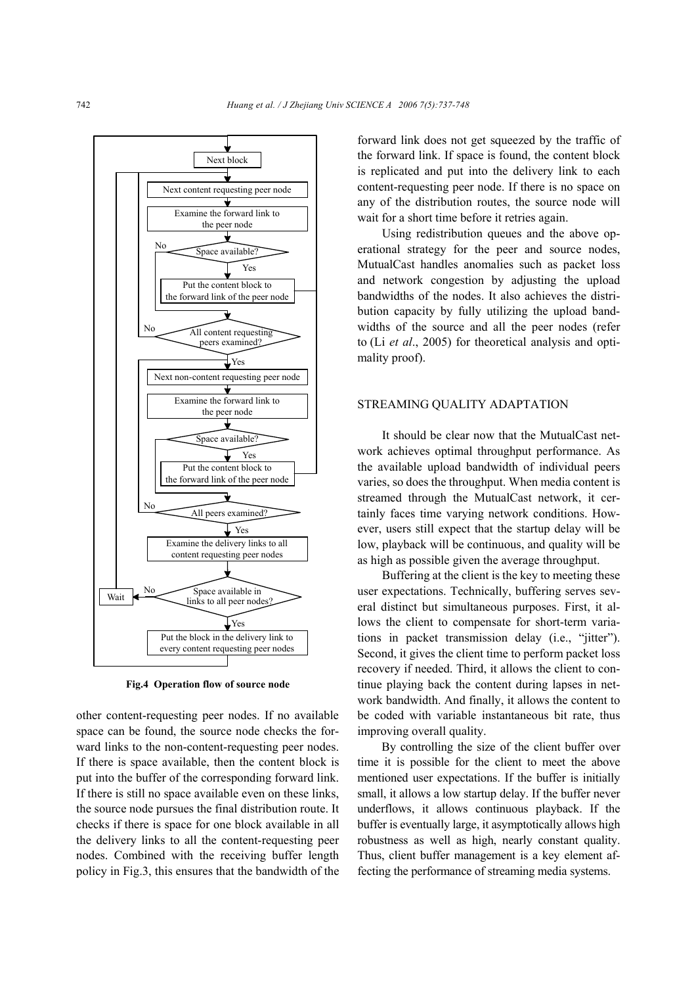

**Fig.4 Operation flow of source node**

other content-requesting peer nodes. If no available space can be found, the source node checks the forward links to the non-content-requesting peer nodes. If there is space available, then the content block is put into the buffer of the corresponding forward link. If there is still no space available even on these links, the source node pursues the final distribution route. It checks if there is space for one block available in all the delivery links to all the content-requesting peer nodes. Combined with the receiving buffer length policy in Fig.3, this ensures that the bandwidth of the

forward link does not get squeezed by the traffic of the forward link. If space is found, the content block is replicated and put into the delivery link to each content-requesting peer node. If there is no space on any of the distribution routes, the source node will wait for a short time before it retries again.

Using redistribution queues and the above operational strategy for the peer and source nodes, MutualCast handles anomalies such as packet loss and network congestion by adjusting the upload bandwidths of the nodes. It also achieves the distribution capacity by fully utilizing the upload bandwidths of the source and all the peer nodes (refer to (Li *et al*., 2005) for theoretical analysis and optimality proof).

## STREAMING QUALITY ADAPTATION

It should be clear now that the MutualCast network achieves optimal throughput performance. As the available upload bandwidth of individual peers varies, so does the throughput. When media content is streamed through the MutualCast network, it certainly faces time varying network conditions. However, users still expect that the startup delay will be low, playback will be continuous, and quality will be as high as possible given the average throughput.

Buffering at the client is the key to meeting these user expectations. Technically, buffering serves several distinct but simultaneous purposes. First, it allows the client to compensate for short-term variations in packet transmission delay (i.e., "jitter"). Second, it gives the client time to perform packet loss recovery if needed. Third, it allows the client to continue playing back the content during lapses in network bandwidth. And finally, it allows the content to be coded with variable instantaneous bit rate, thus improving overall quality.

By controlling the size of the client buffer over time it is possible for the client to meet the above mentioned user expectations. If the buffer is initially small, it allows a low startup delay. If the buffer never underflows, it allows continuous playback. If the buffer is eventually large, it asymptotically allows high robustness as well as high, nearly constant quality. Thus, client buffer management is a key element affecting the performance of streaming media systems.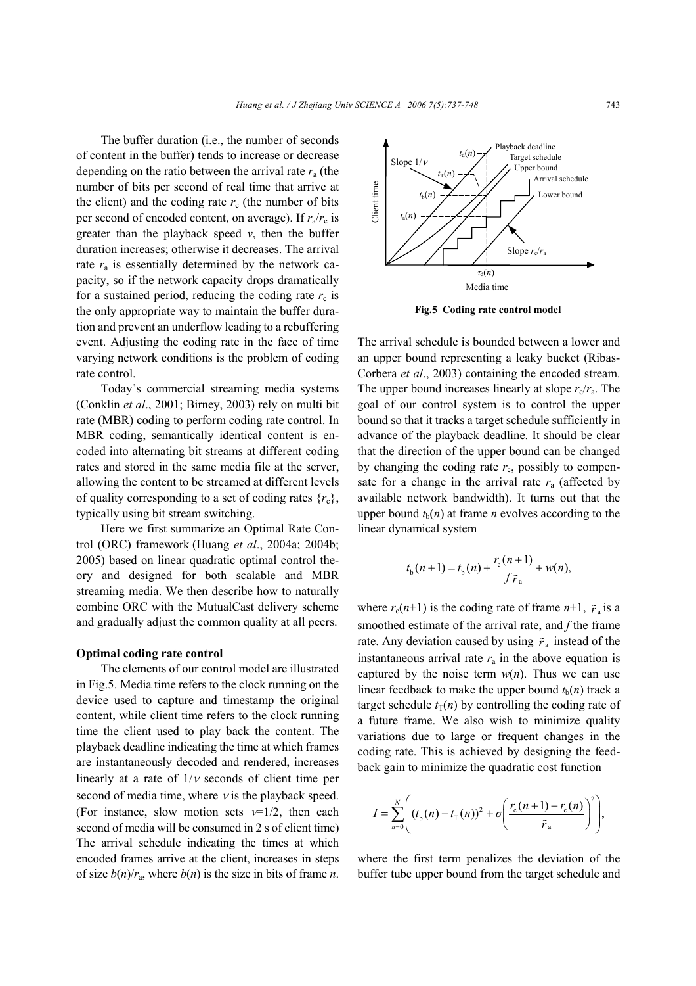The buffer duration (i.e., the number of seconds of content in the buffer) tends to increase or decrease depending on the ratio between the arrival rate  $r_a$  (the number of bits per second of real time that arrive at the client) and the coding rate  $r_c$  (the number of bits per second of encoded content, on average). If  $r_a/r_c$  is greater than the playback speed *ν*, then the buffer duration increases; otherwise it decreases. The arrival rate  $r_a$  is essentially determined by the network capacity, so if the network capacity drops dramatically for a sustained period, reducing the coding rate  $r_c$  is the only appropriate way to maintain the buffer duration and prevent an underflow leading to a rebuffering event. Adjusting the coding rate in the face of time varying network conditions is the problem of coding rate control.

Today's commercial streaming media systems (Conklin *et al*., 2001; Birney, 2003) rely on multi bit rate (MBR) coding to perform coding rate control. In MBR coding, semantically identical content is encoded into alternating bit streams at different coding rates and stored in the same media file at the server, allowing the content to be streamed at different levels of quality corresponding to a set of coding rates  ${r_c}$ , typically using bit stream switching.

Here we first summarize an Optimal Rate Control (ORC) framework (Huang *et al*., 2004a; 2004b; 2005) based on linear quadratic optimal control theory and designed for both scalable and MBR streaming media. We then describe how to naturally combine ORC with the MutualCast delivery scheme and gradually adjust the common quality at all peers.

#### **Optimal coding rate control**

The elements of our control model are illustrated in Fig.5. Media time refers to the clock running on the device used to capture and timestamp the original content, while client time refers to the clock running time the client used to play back the content. The playback deadline indicating the time at which frames are instantaneously decoded and rendered, increases linearly at a rate of  $1/v$  seconds of client time per second of media time, where  $\nu$  is the playback speed. (For instance, slow motion sets  $v=1/2$ , then each second of media will be consumed in 2 s of client time) The arrival schedule indicating the times at which encoded frames arrive at the client, increases in steps of size  $b(n)/r_a$ , where  $b(n)$  is the size in bits of frame *n*.



**Fig.5 Coding rate control model**

The arrival schedule is bounded between a lower and an upper bound representing a leaky bucket (Ribas-Corbera *et al*., 2003) containing the encoded stream. The upper bound increases linearly at slope  $r_c/r_a$ . The goal of our control system is to control the upper bound so that it tracks a target schedule sufficiently in advance of the playback deadline. It should be clear that the direction of the upper bound can be changed by changing the coding rate  $r_c$ , possibly to compensate for a change in the arrival rate  $r_a$  (affected by available network bandwidth). It turns out that the upper bound  $t_b(n)$  at frame *n* evolves according to the linear dynamical system

$$
t_{\rm b}(n+1) = t_{\rm b}(n) + \frac{r_{\rm c}(n+1)}{f\tilde{r}_{\rm a}} + w(n),
$$

where  $r_c(n+1)$  is the coding rate of frame  $n+1$ ,  $\tilde{r}_a$  is a smoothed estimate of the arrival rate, and *f* the frame rate. Any deviation caused by using  $\tilde{r}_a$  instead of the instantaneous arrival rate  $r_a$  in the above equation is captured by the noise term  $w(n)$ . Thus we can use linear feedback to make the upper bound  $t<sub>b</sub>(n)$  track a target schedule  $t_T(n)$  by controlling the coding rate of a future frame. We also wish to minimize quality variations due to large or frequent changes in the coding rate. This is achieved by designing the feedback gain to minimize the quadratic cost function

$$
I = \sum_{n=0}^{N} \left( (t_{b}(n) - t_{T}(n))^{2} + \sigma \left( \frac{r_{c}(n+1) - r_{c}(n)}{\tilde{r}_{a}} \right)^{2} \right),
$$

where the first term penalizes the deviation of the buffer tube upper bound from the target schedule and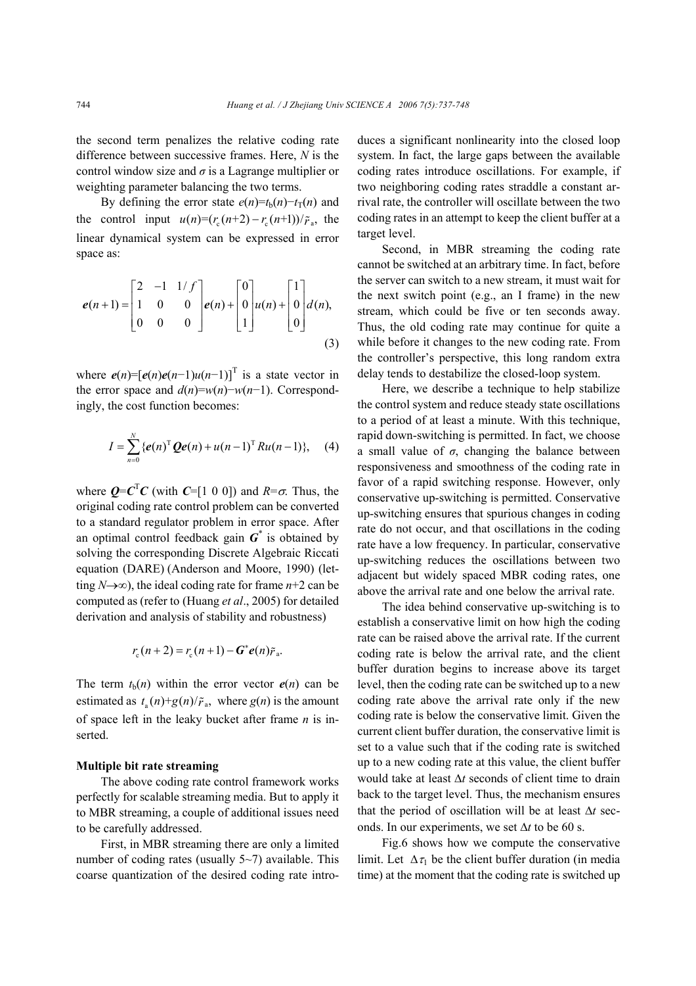the second term penalizes the relative coding rate difference between successive frames. Here, *N* is the control window size and  $\sigma$  is a Lagrange multiplier or weighting parameter balancing the two terms.

By defining the error state  $e(n)=t_b(n)-t_T(n)$  and the control input  $u(n) = (r_c(n+2) - r_c(n+1))/\tilde{r}_a$ , the linear dynamical system can be expressed in error space as:

$$
e(n+1) = \begin{bmatrix} 2 & -1 & 1/f \\ 1 & 0 & 0 \\ 0 & 0 & 0 \end{bmatrix} e(n) + \begin{bmatrix} 0 \\ 0 \\ 1 \end{bmatrix} u(n) + \begin{bmatrix} 1 \\ 0 \\ 0 \end{bmatrix} d(n),
$$
\n(3)

where  $e(n)=[e(n)e(n-1)u(n-1)]^T$  is a state vector in the error space and *d*(*n*)=*w*(*n*)−*w*(*n*−1). Correspondingly, the cost function becomes:

$$
I = \sum_{n=0}^{N} {\{e(n)^{\mathrm{T}} \mathbf{Q} e(n) + u(n-1)^{\mathrm{T}} Ru(n-1)\}}, \quad (4)
$$

where  $Q = C^T C$  (with  $C = [1 \ 0 \ 0]$ ) and  $R = \sigma$ . Thus, the original coding rate control problem can be converted to a standard regulator problem in error space. After an optimal control feedback gain  $G^*$  is obtained by solving the corresponding Discrete Algebraic Riccati equation (DARE) (Anderson and Moore, 1990) (letting *N*→∞), the ideal coding rate for frame  $n+2$  can be computed as (refer to (Huang *et al*., 2005) for detailed derivation and analysis of stability and robustness)

$$
r_{\rm c}(n+2)=r_{\rm c}(n+1)-\boldsymbol{G}^*\boldsymbol{e}(n)\tilde{r}_{\rm a}.
$$

The term  $t_b(n)$  within the error vector  $e(n)$  can be estimated as  $t_a(n)+g(n)/\tilde{r}_a$ , where  $g(n)$  is the amount of space left in the leaky bucket after frame *n* is inserted.

### **Multiple bit rate streaming**

The above coding rate control framework works perfectly for scalable streaming media. But to apply it to MBR streaming, a couple of additional issues need to be carefully addressed.

First, in MBR streaming there are only a limited number of coding rates (usually  $5\negmedspace\sim$ 7) available. This coarse quantization of the desired coding rate introduces a significant nonlinearity into the closed loop system. In fact, the large gaps between the available coding rates introduce oscillations. For example, if two neighboring coding rates straddle a constant arrival rate, the controller will oscillate between the two coding rates in an attempt to keep the client buffer at a target level.

Second, in MBR streaming the coding rate cannot be switched at an arbitrary time. In fact, before the server can switch to a new stream, it must wait for the next switch point (e.g., an I frame) in the new stream, which could be five or ten seconds away. Thus, the old coding rate may continue for quite a while before it changes to the new coding rate. From the controller's perspective, this long random extra delay tends to destabilize the closed-loop system.

Here, we describe a technique to help stabilize the control system and reduce steady state oscillations to a period of at least a minute. With this technique, rapid down-switching is permitted. In fact, we choose a small value of  $\sigma$ , changing the balance between responsiveness and smoothness of the coding rate in favor of a rapid switching response. However, only conservative up-switching is permitted. Conservative up-switching ensures that spurious changes in coding rate do not occur, and that oscillations in the coding rate have a low frequency. In particular, conservative up-switching reduces the oscillations between two adjacent but widely spaced MBR coding rates, one above the arrival rate and one below the arrival rate.

The idea behind conservative up-switching is to establish a conservative limit on how high the coding rate can be raised above the arrival rate. If the current coding rate is below the arrival rate, and the client buffer duration begins to increase above its target level, then the coding rate can be switched up to a new coding rate above the arrival rate only if the new coding rate is below the conservative limit. Given the current client buffer duration, the conservative limit is set to a value such that if the coding rate is switched up to a new coding rate at this value, the client buffer would take at least ∆*t* seconds of client time to drain back to the target level. Thus, the mechanism ensures that the period of oscillation will be at least ∆*t* seconds. In our experiments, we set ∆*t* to be 60 s.

Fig.6 shows how we compute the conservative limit. Let  $\Delta \tau_1$  be the client buffer duration (in media time) at the moment that the coding rate is switched up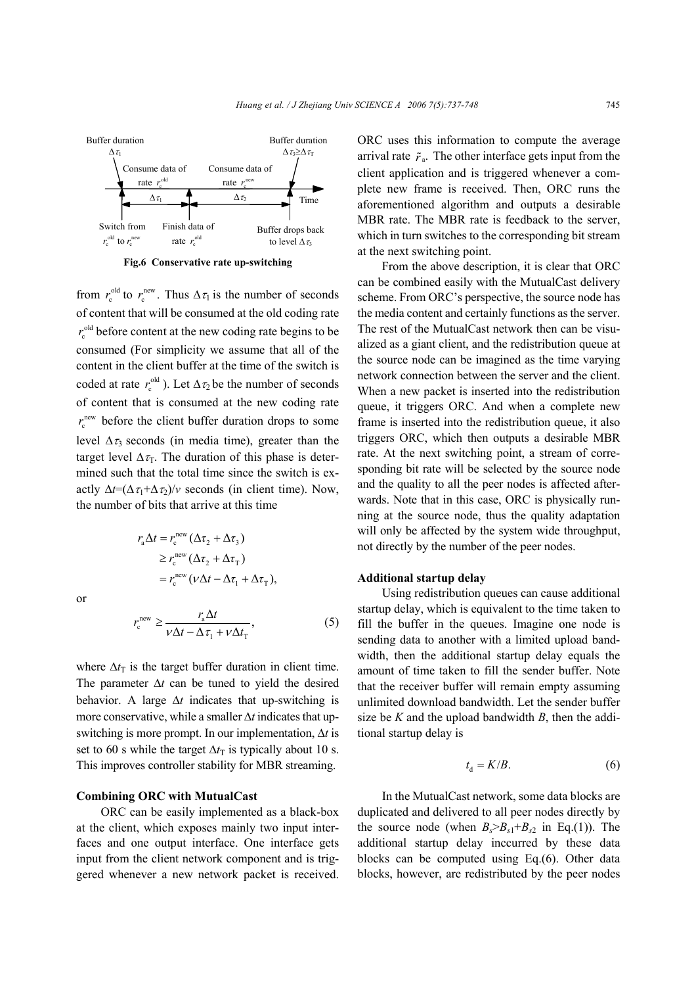

**Fig.6 Conservative rate up-switching**

from  $r_c^{\text{old}}$  to  $r_c^{\text{new}}$ . Thus  $\Delta \tau_1$  is the number of seconds of content that will be consumed at the old coding rate  $r_c^{\text{old}}$  before content at the new coding rate begins to be consumed (For simplicity we assume that all of the content in the client buffer at the time of the switch is coded at rate  $r_c^{\text{old}}$ ). Let  $\Delta \tau_2$  be the number of seconds of content that is consumed at the new coding rate  $r_c^{\text{new}}$  before the client buffer duration drops to some level  $\Delta \tau_3$  seconds (in media time), greater than the target level  $\Delta \tau$ . The duration of this phase is determined such that the total time since the switch is exactly  $\Delta t = (\Delta \tau_1 + \Delta \tau_2)/v$  seconds (in client time). Now, the number of bits that arrive at this time

> $r_{\rm a}\Delta t = r_{\rm c}^{\rm new}(\Delta\tau_2 + \Delta\tau_3)$  $\geq r_{\rm c}^{\rm new}(\Delta\tau_2+\Delta\tau_{\rm T})$

 $r_c^{\text{new}}(\nu \Delta t - \Delta \tau_1 + \Delta \tau_T),$ 

or

$$
r_c^{\text{new}} \ge \frac{r_a \Delta t}{\nu \Delta t - \Delta \tau_1 + \nu \Delta t_\text{T}},\tag{5}
$$

where  $\Delta t$ <sup>T</sup> is the target buffer duration in client time. The parameter ∆*t* can be tuned to yield the desired behavior. A large ∆*t* indicates that up-switching is more conservative, while a smaller ∆*t* indicates that upswitching is more prompt. In our implementation, ∆*t* is set to 60 s while the target  $\Delta t_T$  is typically about 10 s. This improves controller stability for MBR streaming.

## **Combining ORC with MutualCast**

ORC can be easily implemented as a black-box at the client, which exposes mainly two input interfaces and one output interface. One interface gets input from the client network component and is triggered whenever a new network packet is received. ORC uses this information to compute the average arrival rate  $\tilde{r}_a$ . The other interface gets input from the client application and is triggered whenever a complete new frame is received. Then, ORC runs the aforementioned algorithm and outputs a desirable MBR rate. The MBR rate is feedback to the server, which in turn switches to the corresponding bit stream at the next switching point.

From the above description, it is clear that ORC can be combined easily with the MutualCast delivery scheme. From ORC's perspective, the source node has the media content and certainly functions as the server. The rest of the MutualCast network then can be visualized as a giant client, and the redistribution queue at the source node can be imagined as the time varying network connection between the server and the client. When a new packet is inserted into the redistribution queue, it triggers ORC. And when a complete new frame is inserted into the redistribution queue, it also triggers ORC, which then outputs a desirable MBR rate. At the next switching point, a stream of corresponding bit rate will be selected by the source node and the quality to all the peer nodes is affected afterwards. Note that in this case, ORC is physically running at the source node, thus the quality adaptation will only be affected by the system wide throughput, not directly by the number of the peer nodes.

#### **Additional startup delay**

Using redistribution queues can cause additional startup delay, which is equivalent to the time taken to fill the buffer in the queues. Imagine one node is sending data to another with a limited upload bandwidth, then the additional startup delay equals the amount of time taken to fill the sender buffer. Note that the receiver buffer will remain empty assuming unlimited download bandwidth. Let the sender buffer size be *K* and the upload bandwidth *B*, then the additional startup delay is

$$
t_{\rm d} = K/B. \tag{6}
$$

In the MutualCast network, some data blocks are duplicated and delivered to all peer nodes directly by the source node (when  $B_s > B_{s1} + B_{s2}$  in Eq.(1)). The additional startup delay inccurred by these data blocks can be computed using Eq.(6). Other data blocks, however, are redistributed by the peer nodes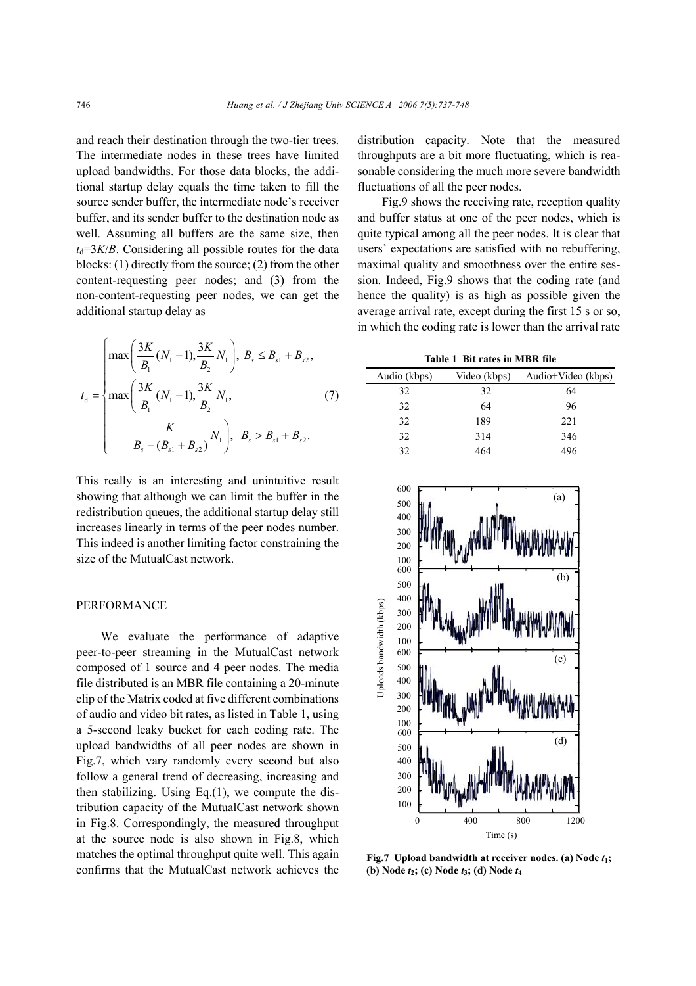and reach their destination through the two-tier trees. The intermediate nodes in these trees have limited upload bandwidths. For those data blocks, the additional startup delay equals the time taken to fill the source sender buffer, the intermediate node's receiver buffer, and its sender buffer to the destination node as well. Assuming all buffers are the same size, then  $t_d$ =3 $K/B$ . Considering all possible routes for the data blocks: (1) directly from the source; (2) from the other content-requesting peer nodes; and (3) from the non-content-requesting peer nodes, we can get the additional startup delay as

$$
t_{\rm d} = \begin{cases} \max\left(\frac{3K}{B_{\rm l}}(N_{\rm l}-1), \frac{3K}{B_{\rm 2}}N_{\rm l}\right), B_{\rm s} \leq B_{\rm s1} + B_{\rm s2}, \\ \max\left(\frac{3K}{B_{\rm l}}(N_{\rm l}-1), \frac{3K}{B_{\rm 2}}N_{\rm l}, \frac{K}{B_{\rm s} - (B_{\rm s1} + B_{\rm s2})}N_{\rm l}\right), B_{\rm s} > B_{\rm s1} + B_{\rm s2}. \end{cases}
$$
(7)

This really is an interesting and unintuitive result showing that although we can limit the buffer in the redistribution queues, the additional startup delay still increases linearly in terms of the peer nodes number. This indeed is another limiting factor constraining the size of the MutualCast network.

# PERFORMANCE

We evaluate the performance of adaptive peer-to-peer streaming in the MutualCast network composed of 1 source and 4 peer nodes. The media file distributed is an MBR file containing a 20-minute clip of the Matrix coded at five different combinations of audio and video bit rates, as listed in Table 1, using a 5-second leaky bucket for each coding rate. The upload bandwidths of all peer nodes are shown in Fig.7, which vary randomly every second but also follow a general trend of decreasing, increasing and then stabilizing. Using Eq.(1), we compute the distribution capacity of the MutualCast network shown in Fig.8. Correspondingly, the measured throughput at the source node is also shown in Fig.8, which matches the optimal throughput quite well. This again confirms that the MutualCast network achieves the distribution capacity. Note that the measured throughputs are a bit more fluctuating, which is reasonable considering the much more severe bandwidth fluctuations of all the peer nodes.

Fig.9 shows the receiving rate, reception quality and buffer status at one of the peer nodes, which is quite typical among all the peer nodes. It is clear that users' expectations are satisfied with no rebuffering, maximal quality and smoothness over the entire session. Indeed, Fig.9 shows that the coding rate (and hence the quality) is as high as possible given the average arrival rate, except during the first 15 s or so, in which the coding rate is lower than the arrival rate

**Table 1 Bit rates in MBR file** 

| Audio (kbps) | Video (kbps) | Audio+Video (kbps) |
|--------------|--------------|--------------------|
| 32           | 32           | 64                 |
| 32           | 64           | 96                 |
| 32           | 189          | 22.1               |
| 32           | 314          | 346                |
| 32           | 464          | 496                |



**Fig.7 Upload bandwidth at receiver nodes. (a) Node** *t***1; (b) Node** *t***2; (c) Node** *t***3; (d) Node** *t***<sup>4</sup>**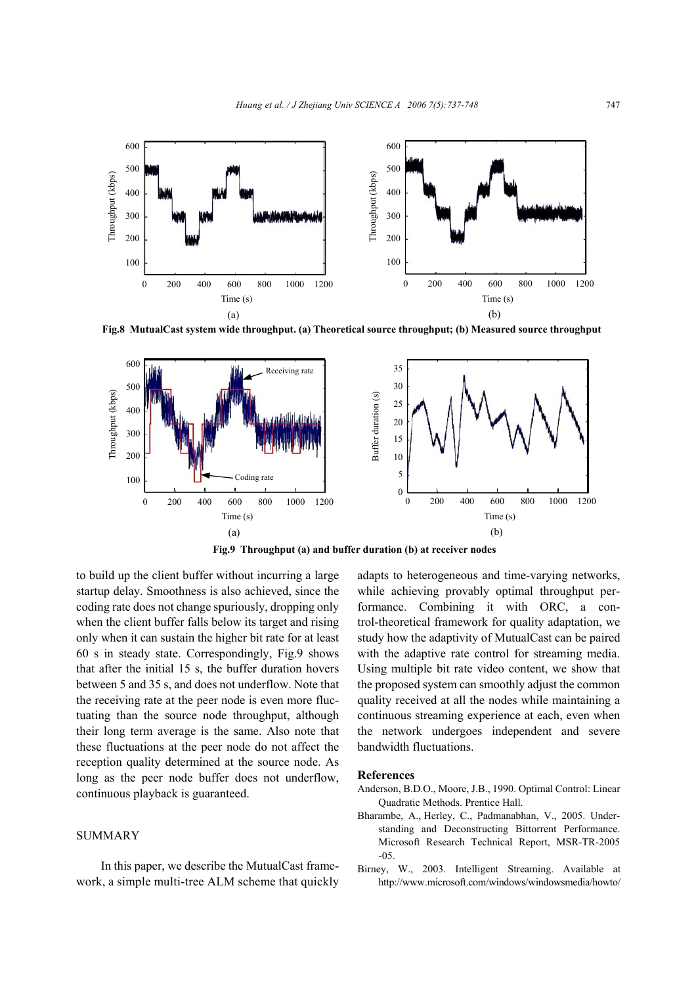

**Fig.8 MutualCast system wide throughput. (a) Theoretical source throughput; (b) Measured source throughput**



**Fig.9 Throughput (a) and buffer duration (b) at receiver nodes**

to build up the client buffer without incurring a large startup delay. Smoothness is also achieved, since the coding rate does not change spuriously, dropping only when the client buffer falls below its target and rising only when it can sustain the higher bit rate for at least 60 s in steady state. Correspondingly, Fig.9 shows that after the initial 15 s, the buffer duration hovers between 5 and 35 s, and does not underflow. Note that the receiving rate at the peer node is even more fluctuating than the source node throughput, although their long term average is the same. Also note that these fluctuations at the peer node do not affect the reception quality determined at the source node. As long as the peer node buffer does not underflow, continuous playback is guaranteed.

## **SUMMARY**

In this paper, we describe the MutualCast framework, a simple multi-tree ALM scheme that quickly adapts to heterogeneous and time-varying networks, while achieving provably optimal throughput performance. Combining it with ORC, a control-theoretical framework for quality adaptation, we study how the adaptivity of MutualCast can be paired with the adaptive rate control for streaming media. Using multiple bit rate video content, we show that the proposed system can smoothly adjust the common quality received at all the nodes while maintaining a continuous streaming experience at each, even when the network undergoes independent and severe bandwidth fluctuations.

#### **References**

- Anderson, B.D.O., Moore, J.B., 1990. Optimal Control: Linear Quadratic Methods. Prentice Hall.
- Bharambe, A., Herley, C., Padmanabhan, V., 2005. Understanding and Deconstructing Bittorrent Performance. Microsoft Research Technical Report, MSR-TR-2005 -05.
- Birney, W., 2003. Intelligent Streaming. Available at http://www.microsoft.com/windows/windowsmedia/howto/